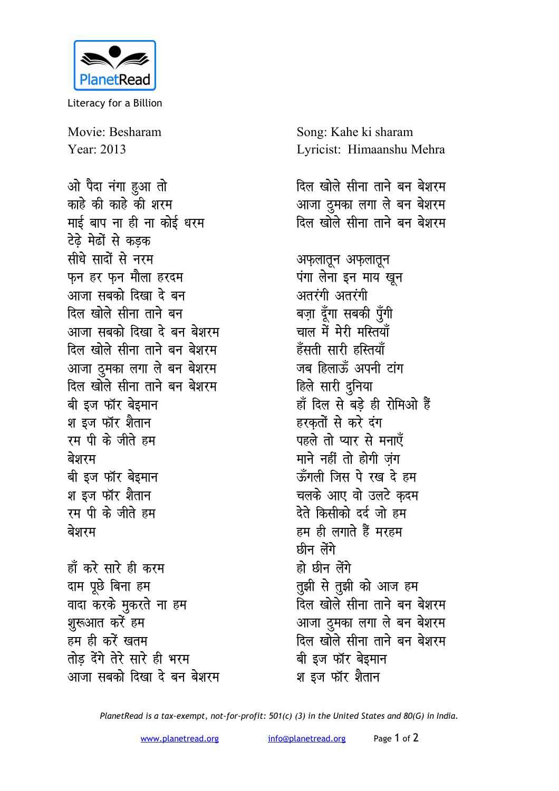

Literacy for a Billion

Movie: Besharam Year: 2013

ओ पैदा नंगा हुआ तो काहे की काहे की शरम माई बाप ना ही ना कोई धरम टेढे मेढों से कडक सीधे सादों से नरम फन हर फन मौला हरदम आजा सबको दिखा दे बन दिल खोले सीना ताने बन आजा सबको दिखा दे बन बेशरम दिल खोले सीना ताने बन बेशरम आजा दूमका लगा ले बन बेशरम दिल खोले सीना ताने बन बेशरम बी इज फॉर बेइमान श इज फॉर शैतान रम पी के जीते हम बेशरम बी इज फॉर बेइमान श इज फॉर शैतान रम पी के जीते हम बेशरम हाँ करे सारे ही करम दाम पूछे बिना हम वादा करके मुकरते ना हम शुरूआत करें हम हम ही करें खतम

तोड़ देंगे तेरे सारे ही भरम

आजा सबको दिखा दे बन बेशरम

Song: Kahe ki sharam Lyricist: Himaanshu Mehra दिल खोले सीना ताने बन बेशरम आजा ठुमका लगा ले बन बेशरम दिल खोले सीना ताने बन बेशरम अफ़लातून अफ़लातून पंगा लेना इन माय खून अतरंगी अतरंगी बज़ा दूँगा सबकी पूँगी चाल में मेरी मस्तियाँ हँसती सारी हस्तियाँ जब हिलाऊँ अपनी टांग हिले सारी दुनिया हाँ दिल से बड़े ही रोमिओ हैं हरकतों से करे दंग पहले तो प्यार से मनाएँ माने नहीं तो होगी जंग ऊँगली जिस पे रख दे हम चलके आए वो उलटे कदम देते किसीको दर्द जो हम हम ही लगाते हैं मरहम छीन लेंगे हो छीन लेंगे तुझी से तुझी को आज हम .<br>दिल खोले सीना ताने बन बेशरम आजा ठुमका लगा ले बन बेशरम दिल खोले सीना ताने बन बेशरम बी इज फॉर बेइमान श इज फॉर शैतान

PlanetRead is a tax-exempt, not-for-profit: 501(c) (3) in the United States and 80(G) in India.